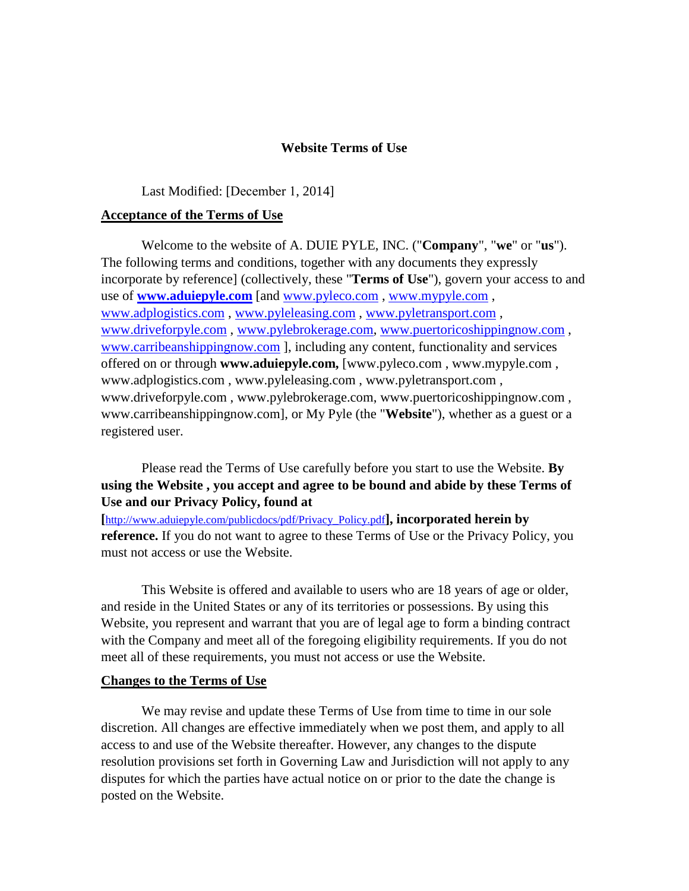#### **Website Terms of Use**

#### Last Modified: [December 1, 2014]

#### **Acceptance of the Terms of Use**

Welcome to the website of A. DUIE PYLE, INC. ("**Company**", "**we**" or "**us**"). The following terms and conditions, together with any documents they expressly incorporate by reference] (collectively, these "**Terms of Use**"), govern your access to and use of **[www.aduiepyle.com](http://www.aduiepyle.com/)** [and [www.pyleco.com](http://www.pyleco.com/) , [www.mypyle.com](http://www.mypyle.com/) , [www.adplogistics.com](http://www.adplogistics.com/) , [www.pyleleasing.com](http://www.pyleleasing.com/) , [www.pyletransport.com](http://www.pyletransport.com/) , [www.driveforpyle.com](http://www.driveforpyle.com/) , [www.pylebrokerage.com,](http://www.pylebrokerage.com/) [www.puertoricoshippingnow.com](http://www.puertoricoshippingnow.com/) , [www.carribeanshippingnow.com](http://www.carribeanshippingnow.com/) ], including any content, functionality and services offered on or through **www.aduiepyle.com,** [www.pyleco.com , www.mypyle.com , www.adplogistics.com , www.pyleleasing.com , www.pyletransport.com , www.driveforpyle.com , www.pylebrokerage.com, www.puertoricoshippingnow.com , www.carribeanshippingnow.com], or My Pyle (the "**Website**"), whether as a guest or a registered user.

Please read the Terms of Use carefully before you start to use the Website. **By using the Website , you accept and agree to be bound and abide by these Terms of Use and our Privacy Policy, found at** 

**[**[http://www.aduiepyle.com/publicdocs/pdf/Privacy\\_Policy.pdf](http://www.aduiepyle.com/publicdocs/pdf/Privacy_Policy.pdf)**], incorporated herein by reference.** If you do not want to agree to these Terms of Use or the Privacy Policy, you must not access or use the Website.

This Website is offered and available to users who are 18 years of age or older, and reside in the United States or any of its territories or possessions. By using this Website, you represent and warrant that you are of legal age to form a binding contract with the Company and meet all of the foregoing eligibility requirements. If you do not meet all of these requirements, you must not access or use the Website.

#### **Changes to the Terms of Use**

We may revise and update these Terms of Use from time to time in our sole discretion. All changes are effective immediately when we post them, and apply to all access to and use of the Website thereafter. However, any changes to the dispute resolution provisions set forth in Governing Law and Jurisdiction will not apply to any disputes for which the parties have actual notice on or prior to the date the change is posted on the Website.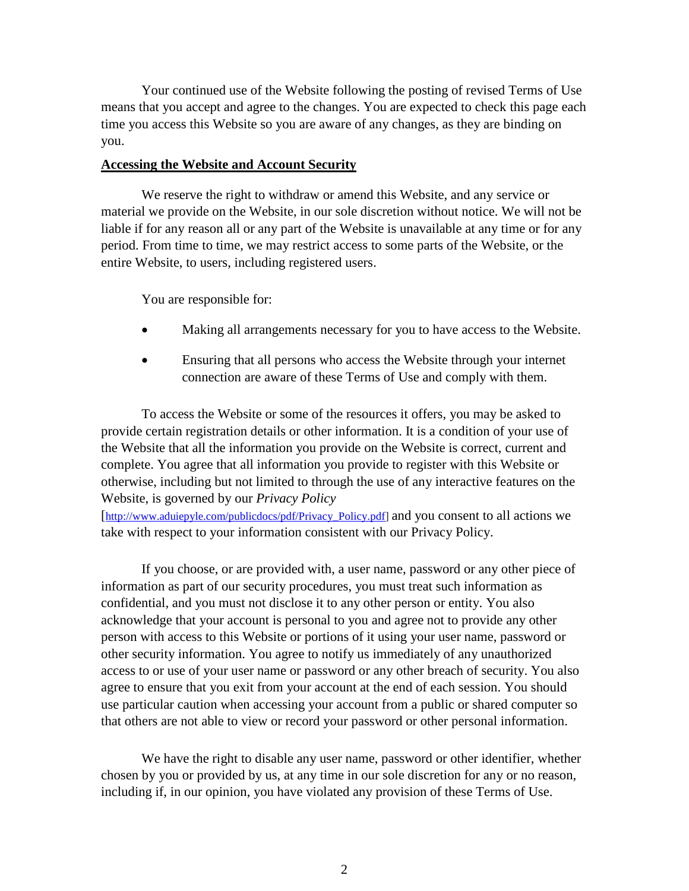Your continued use of the Website following the posting of revised Terms of Use means that you accept and agree to the changes. You are expected to check this page each time you access this Website so you are aware of any changes, as they are binding on you.

#### **Accessing the Website and Account Security**

We reserve the right to withdraw or amend this Website, and any service or material we provide on the Website, in our sole discretion without notice. We will not be liable if for any reason all or any part of the Website is unavailable at any time or for any period. From time to time, we may restrict access to some parts of the Website, or the entire Website, to users, including registered users.

You are responsible for:

- Making all arrangements necessary for you to have access to the Website.
- Ensuring that all persons who access the Website through your internet connection are aware of these Terms of Use and comply with them.

To access the Website or some of the resources it offers, you may be asked to provide certain registration details or other information. It is a condition of your use of the Website that all the information you provide on the Website is correct, current and complete. You agree that all information you provide to register with this Website or otherwise, including but not limited to through the use of any interactive features on the Website, is governed by our *Privacy Policy*

[\[http://www.aduiepyle.com/publicdocs/pdf/Privacy\\_Policy.pdf\]](http://www.aduiepyle.com/publicdocs/pdf/Privacy_Policy.pdf) and you consent to all actions we take with respect to your information consistent with our Privacy Policy.

If you choose, or are provided with, a user name, password or any other piece of information as part of our security procedures, you must treat such information as confidential, and you must not disclose it to any other person or entity. You also acknowledge that your account is personal to you and agree not to provide any other person with access to this Website or portions of it using your user name, password or other security information. You agree to notify us immediately of any unauthorized access to or use of your user name or password or any other breach of security. You also agree to ensure that you exit from your account at the end of each session. You should use particular caution when accessing your account from a public or shared computer so that others are not able to view or record your password or other personal information.

We have the right to disable any user name, password or other identifier, whether chosen by you or provided by us, at any time in our sole discretion for any or no reason, including if, in our opinion, you have violated any provision of these Terms of Use.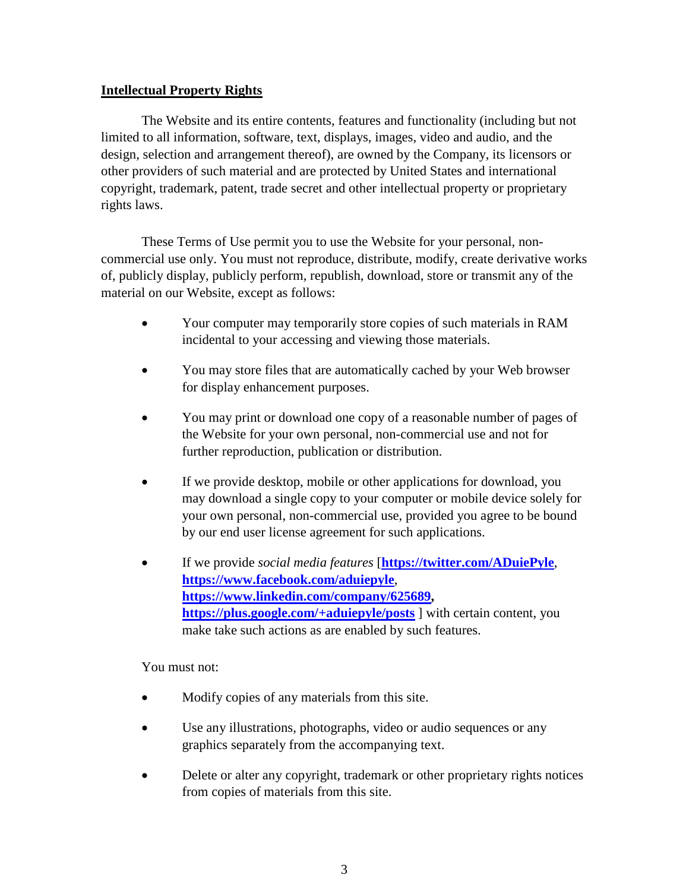## **Intellectual Property Rights**

The Website and its entire contents, features and functionality (including but not limited to all information, software, text, displays, images, video and audio, and the design, selection and arrangement thereof), are owned by the Company, its licensors or other providers of such material and are protected by United States and international copyright, trademark, patent, trade secret and other intellectual property or proprietary rights laws.

These Terms of Use permit you to use the Website for your personal, noncommercial use only. You must not reproduce, distribute, modify, create derivative works of, publicly display, publicly perform, republish, download, store or transmit any of the material on our Website, except as follows:

- Your computer may temporarily store copies of such materials in RAM incidental to your accessing and viewing those materials.
- You may store files that are automatically cached by your Web browser for display enhancement purposes.
- You may print or download one copy of a reasonable number of pages of the Website for your own personal, non-commercial use and not for further reproduction, publication or distribution.
- If we provide desktop, mobile or other applications for download, you may download a single copy to your computer or mobile device solely for your own personal, non-commercial use, provided you agree to be bound by our end user license agreement for such applications.
- If we provide *social media features* [**<https://twitter.com/ADuiePyle>**, **<https://www.facebook.com/aduiepyle>**, **[https://www.linkedin.com/company/625689,](https://www.linkedin.com/company/625689) <https://plus.google.com/+aduiepyle/posts>** ] with certain content, you make take such actions as are enabled by such features.

You must not:

- Modify copies of any materials from this site.
- Use any illustrations, photographs, video or audio sequences or any graphics separately from the accompanying text.
- Delete or alter any copyright, trademark or other proprietary rights notices from copies of materials from this site.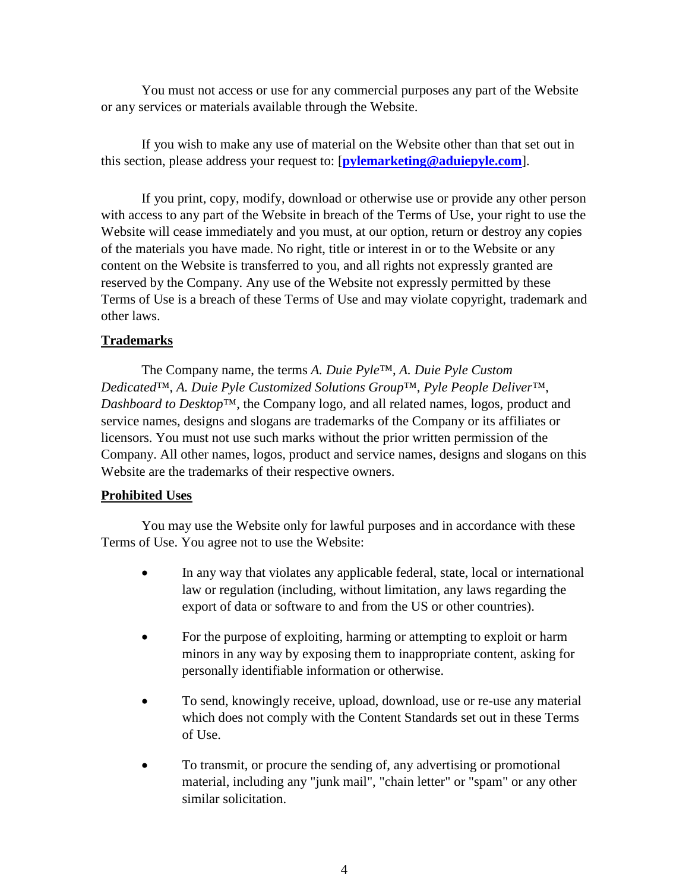You must not access or use for any commercial purposes any part of the Website or any services or materials available through the Website.

If you wish to make any use of material on the Website other than that set out in this section, please address your request to: [**[pylemarketing@aduiepyle.com](mailto:pylemarketing@aduiepyle.com?subject=Privacy%20Policy)**].

If you print, copy, modify, download or otherwise use or provide any other person with access to any part of the Website in breach of the Terms of Use, your right to use the Website will cease immediately and you must, at our option, return or destroy any copies of the materials you have made. No right, title or interest in or to the Website or any content on the Website is transferred to you, and all rights not expressly granted are reserved by the Company. Any use of the Website not expressly permitted by these Terms of Use is a breach of these Terms of Use and may violate copyright, trademark and other laws.

## **Trademarks**

The Company name, the terms *A. Duie Pyle*™, *A. Duie Pyle Custom Dedicated*™, *A. Duie Pyle Customized Solutions Group*™, *Pyle People Deliver*™, *Dashboard to Desktop*™, the Company logo, and all related names, logos, product and service names, designs and slogans are trademarks of the Company or its affiliates or licensors. You must not use such marks without the prior written permission of the Company. All other names, logos, product and service names, designs and slogans on this Website are the trademarks of their respective owners.

#### **Prohibited Uses**

You may use the Website only for lawful purposes and in accordance with these Terms of Use. You agree not to use the Website:

- In any way that violates any applicable federal, state, local or international law or regulation (including, without limitation, any laws regarding the export of data or software to and from the US or other countries).
- For the purpose of exploiting, harming or attempting to exploit or harm minors in any way by exposing them to inappropriate content, asking for personally identifiable information or otherwise.
- To send, knowingly receive, upload, download, use or re-use any material which does not comply with the Content Standards set out in these Terms of Use.
- To transmit, or procure the sending of, any advertising or promotional material, including any "junk mail", "chain letter" or "spam" or any other similar solicitation.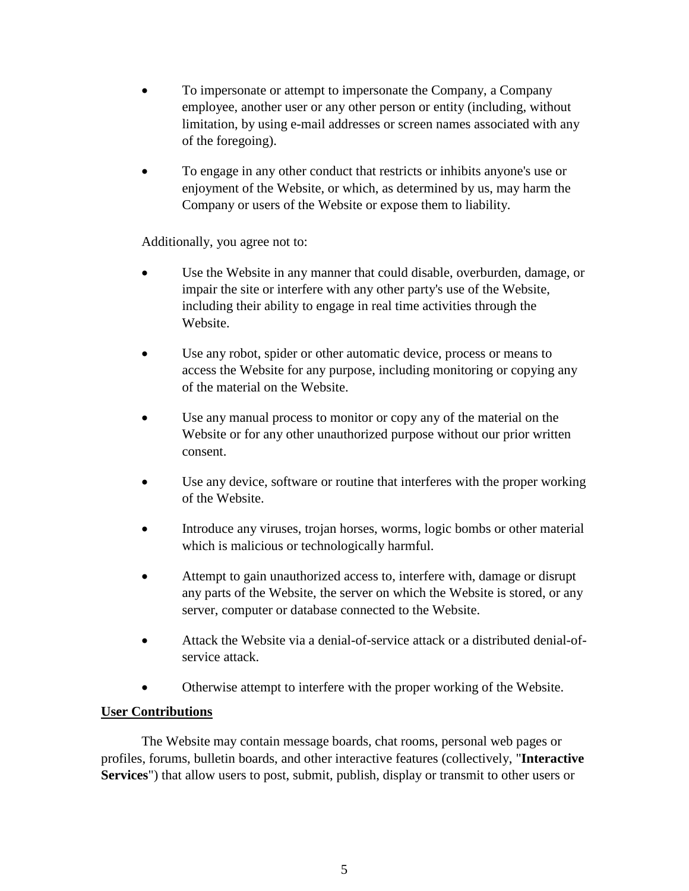- To impersonate or attempt to impersonate the Company, a Company employee, another user or any other person or entity (including, without limitation, by using e-mail addresses or screen names associated with any of the foregoing).
- To engage in any other conduct that restricts or inhibits anyone's use or enjoyment of the Website, or which, as determined by us, may harm the Company or users of the Website or expose them to liability.

Additionally, you agree not to:

- Use the Website in any manner that could disable, overburden, damage, or impair the site or interfere with any other party's use of the Website, including their ability to engage in real time activities through the Website.
- Use any robot, spider or other automatic device, process or means to access the Website for any purpose, including monitoring or copying any of the material on the Website.
- Use any manual process to monitor or copy any of the material on the Website or for any other unauthorized purpose without our prior written consent.
- Use any device, software or routine that interferes with the proper working of the Website.
- Introduce any viruses, trojan horses, worms, logic bombs or other material which is malicious or technologically harmful.
- Attempt to gain unauthorized access to, interfere with, damage or disrupt any parts of the Website, the server on which the Website is stored, or any server, computer or database connected to the Website.
- Attack the Website via a denial-of-service attack or a distributed denial-ofservice attack.
- Otherwise attempt to interfere with the proper working of the Website.

# **User Contributions**

The Website may contain message boards, chat rooms, personal web pages or profiles, forums, bulletin boards, and other interactive features (collectively, "**Interactive Services**") that allow users to post, submit, publish, display or transmit to other users or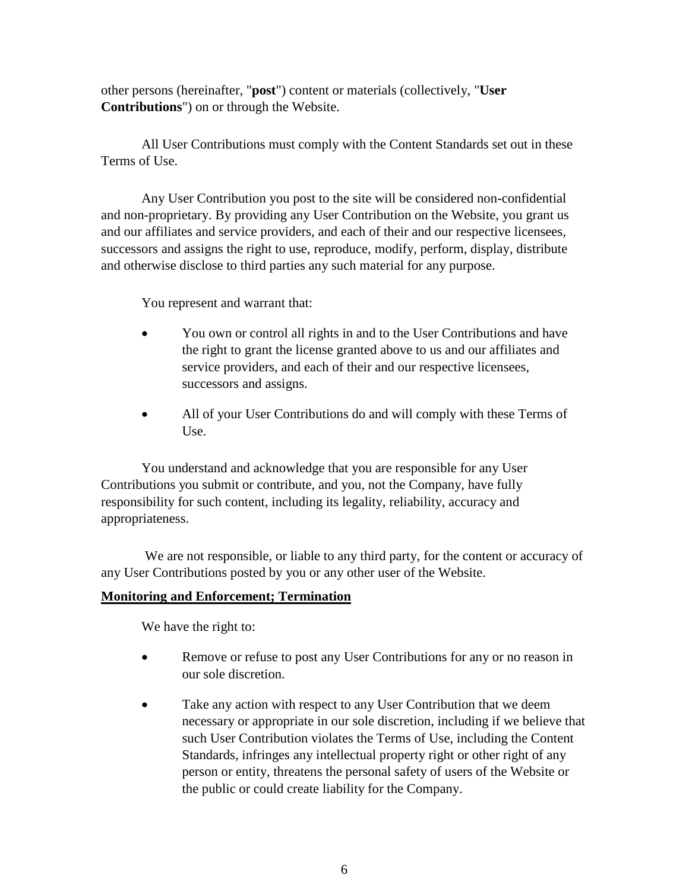other persons (hereinafter, "**post**") content or materials (collectively, "**User Contributions**") on or through the Website.

All User Contributions must comply with the Content Standards set out in these Terms of Use.

Any User Contribution you post to the site will be considered non-confidential and non-proprietary. By providing any User Contribution on the Website, you grant us and our affiliates and service providers, and each of their and our respective licensees, successors and assigns the right to use, reproduce, modify, perform, display, distribute and otherwise disclose to third parties any such material for any purpose.

You represent and warrant that:

- You own or control all rights in and to the User Contributions and have the right to grant the license granted above to us and our affiliates and service providers, and each of their and our respective licensees, successors and assigns.
- All of your User Contributions do and will comply with these Terms of Use.

You understand and acknowledge that you are responsible for any User Contributions you submit or contribute, and you, not the Company, have fully responsibility for such content, including its legality, reliability, accuracy and appropriateness.

We are not responsible, or liable to any third party, for the content or accuracy of any User Contributions posted by you or any other user of the Website.

# **Monitoring and Enforcement; Termination**

We have the right to:

- Remove or refuse to post any User Contributions for any or no reason in our sole discretion.
- Take any action with respect to any User Contribution that we deem necessary or appropriate in our sole discretion, including if we believe that such User Contribution violates the Terms of Use, including the Content Standards, infringes any intellectual property right or other right of any person or entity, threatens the personal safety of users of the Website or the public or could create liability for the Company.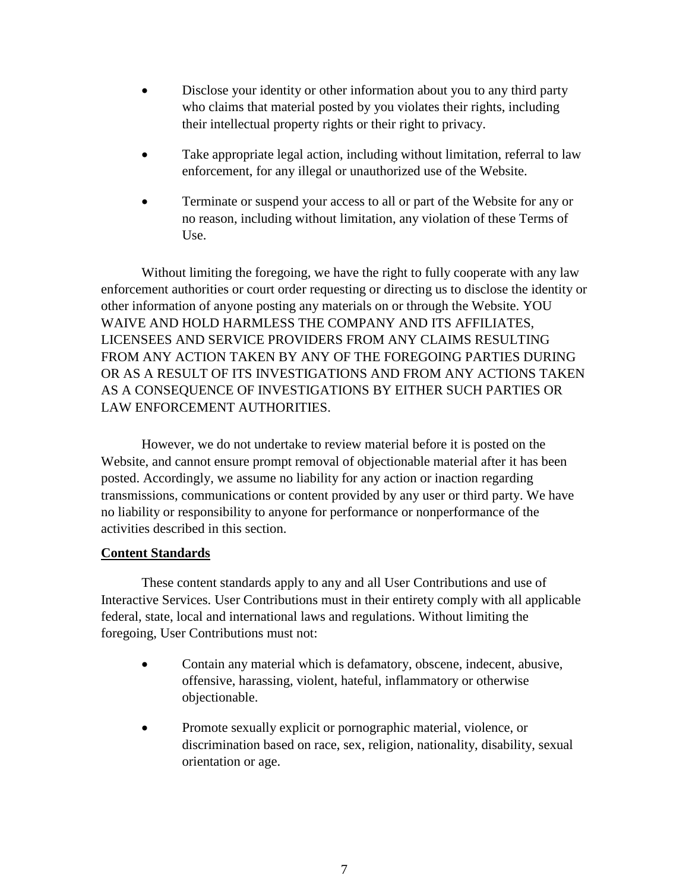- Disclose your identity or other information about you to any third party who claims that material posted by you violates their rights, including their intellectual property rights or their right to privacy.
- Take appropriate legal action, including without limitation, referral to law enforcement, for any illegal or unauthorized use of the Website.
- Terminate or suspend your access to all or part of the Website for any or no reason, including without limitation, any violation of these Terms of Use.

Without limiting the foregoing, we have the right to fully cooperate with any law enforcement authorities or court order requesting or directing us to disclose the identity or other information of anyone posting any materials on or through the Website. YOU WAIVE AND HOLD HARMLESS THE COMPANY AND ITS AFFILIATES, LICENSEES AND SERVICE PROVIDERS FROM ANY CLAIMS RESULTING FROM ANY ACTION TAKEN BY ANY OF THE FOREGOING PARTIES DURING OR AS A RESULT OF ITS INVESTIGATIONS AND FROM ANY ACTIONS TAKEN AS A CONSEQUENCE OF INVESTIGATIONS BY EITHER SUCH PARTIES OR LAW ENFORCEMENT AUTHORITIES.

However, we do not undertake to review material before it is posted on the Website, and cannot ensure prompt removal of objectionable material after it has been posted. Accordingly, we assume no liability for any action or inaction regarding transmissions, communications or content provided by any user or third party. We have no liability or responsibility to anyone for performance or nonperformance of the activities described in this section.

#### **Content Standards**

These content standards apply to any and all User Contributions and use of Interactive Services. User Contributions must in their entirety comply with all applicable federal, state, local and international laws and regulations. Without limiting the foregoing, User Contributions must not:

- Contain any material which is defamatory, obscene, indecent, abusive, offensive, harassing, violent, hateful, inflammatory or otherwise objectionable.
- Promote sexually explicit or pornographic material, violence, or discrimination based on race, sex, religion, nationality, disability, sexual orientation or age.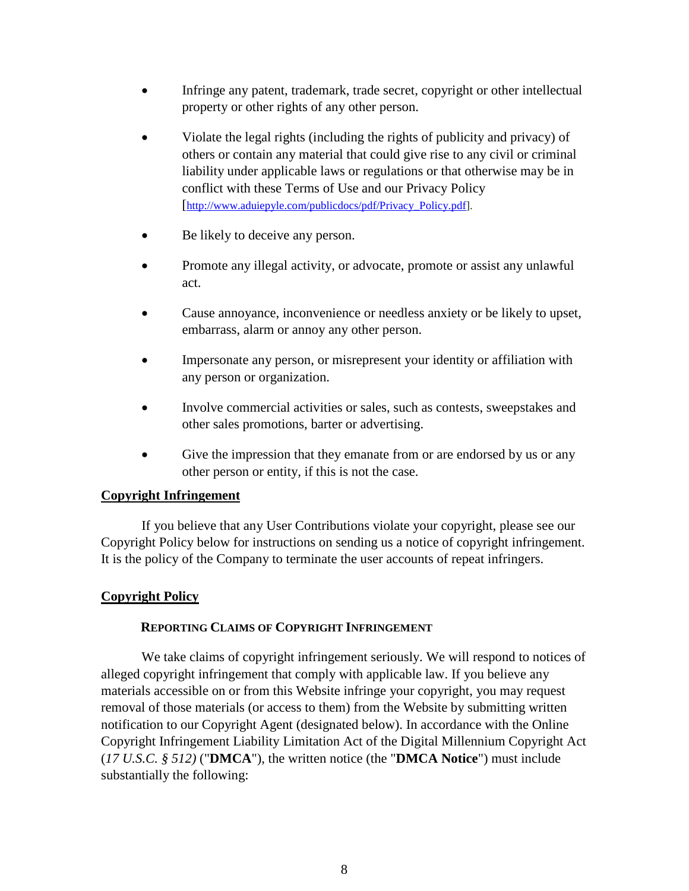- Infringe any patent, trademark, trade secret, copyright or other intellectual property or other rights of any other person.
- Violate the legal rights (including the rights of publicity and privacy) of others or contain any material that could give rise to any civil or criminal liability under applicable laws or regulations or that otherwise may be in conflict with these Terms of Use and our Privacy Policy [\[http://www.aduiepyle.com/publicdocs/pdf/Privacy\\_Policy.pdf\]](http://www.aduiepyle.com/publicdocs/pdf/Privacy_Policy.pdf).
- Be likely to deceive any person.
- Promote any illegal activity, or advocate, promote or assist any unlawful act.
- Cause annoyance, inconvenience or needless anxiety or be likely to upset, embarrass, alarm or annoy any other person.
- Impersonate any person, or misrepresent your identity or affiliation with any person or organization.
- Involve commercial activities or sales, such as contests, sweepstakes and other sales promotions, barter or advertising.
- Give the impression that they emanate from or are endorsed by us or any other person or entity, if this is not the case.

# **Copyright Infringement**

If you believe that any User Contributions violate your copyright, please see our Copyright Policy below for instructions on sending us a notice of copyright infringement. It is the policy of the Company to terminate the user accounts of repeat infringers.

# **Copyright Policy**

# **REPORTING CLAIMS OF COPYRIGHT INFRINGEMENT**

We take claims of copyright infringement seriously. We will respond to notices of alleged copyright infringement that comply with applicable law. If you believe any materials accessible on or from this Website infringe your copyright, you may request removal of those materials (or access to them) from the Website by submitting written notification to our Copyright Agent (designated below). In accordance with the Online Copyright Infringement Liability Limitation Act of the Digital Millennium Copyright Act (*17 U.S.C. § 512)* ("**DMCA**"), the written notice (the "**DMCA Notice**") must include substantially the following: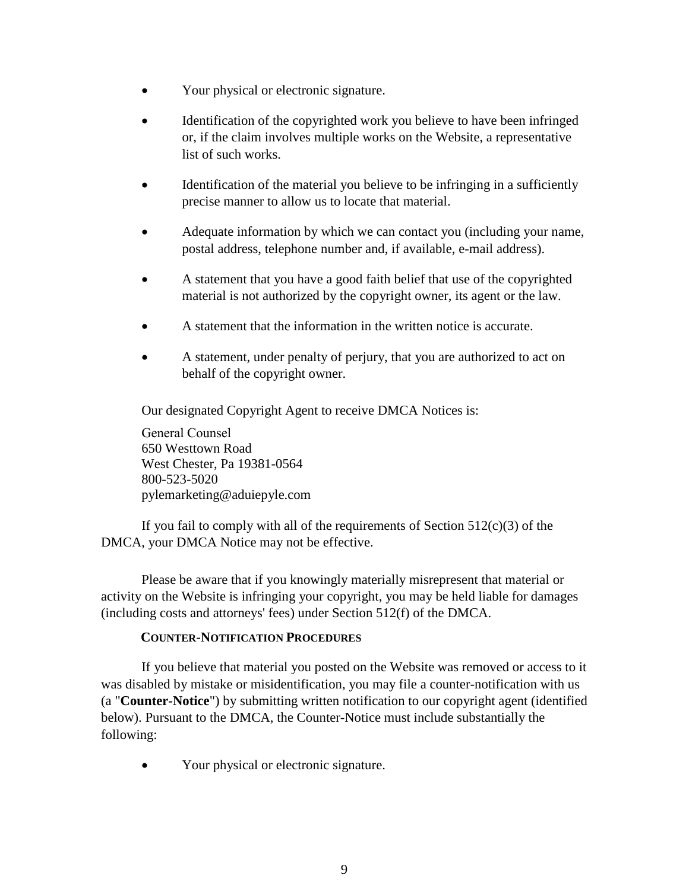- Your physical or electronic signature.
- Identification of the copyrighted work you believe to have been infringed or, if the claim involves multiple works on the Website, a representative list of such works.
- Identification of the material you believe to be infringing in a sufficiently precise manner to allow us to locate that material.
- Adequate information by which we can contact you (including your name, postal address, telephone number and, if available, e-mail address).
- A statement that you have a good faith belief that use of the copyrighted material is not authorized by the copyright owner, its agent or the law.
- A statement that the information in the written notice is accurate.
- A statement, under penalty of perjury, that you are authorized to act on behalf of the copyright owner.

Our designated Copyright Agent to receive DMCA Notices is:

General Counsel 650 Westtown Road West Chester, Pa 19381-0564 800-523-5020 pylemarketing@aduiepyle.com

If you fail to comply with all of the requirements of Section  $512(c)(3)$  of the DMCA, your DMCA Notice may not be effective.

Please be aware that if you knowingly materially misrepresent that material or activity on the Website is infringing your copyright, you may be held liable for damages (including costs and attorneys' fees) under Section 512(f) of the DMCA.

# **COUNTER-NOTIFICATION PROCEDURES**

If you believe that material you posted on the Website was removed or access to it was disabled by mistake or misidentification, you may file a counter-notification with us (a "**Counter-Notice**") by submitting written notification to our copyright agent (identified below). Pursuant to the DMCA, the Counter-Notice must include substantially the following:

• Your physical or electronic signature.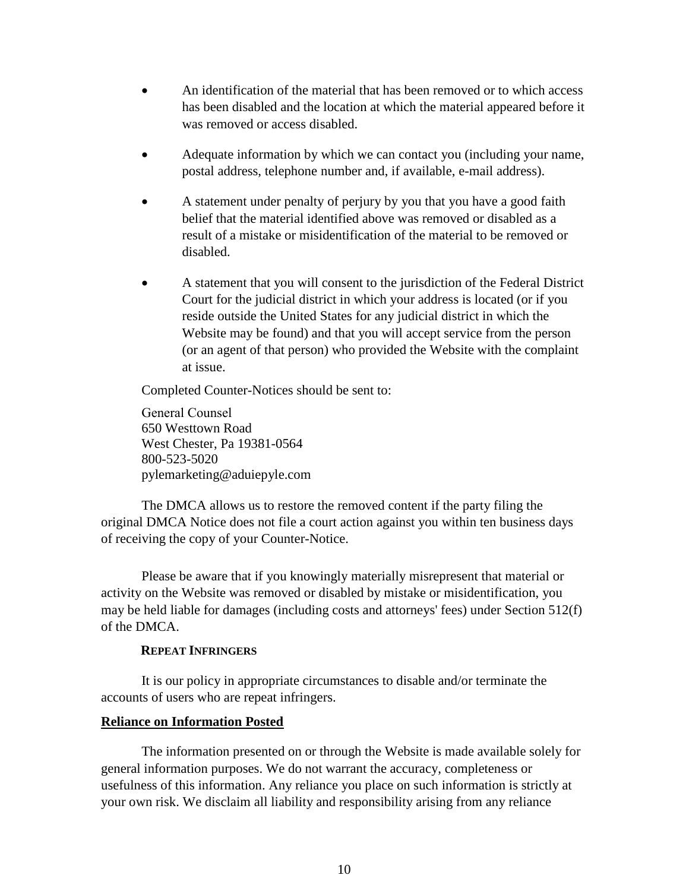- An identification of the material that has been removed or to which access has been disabled and the location at which the material appeared before it was removed or access disabled.
- Adequate information by which we can contact you (including your name, postal address, telephone number and, if available, e-mail address).
- A statement under penalty of perjury by you that you have a good faith belief that the material identified above was removed or disabled as a result of a mistake or misidentification of the material to be removed or disabled.
- A statement that you will consent to the jurisdiction of the Federal District Court for the judicial district in which your address is located (or if you reside outside the United States for any judicial district in which the Website may be found) and that you will accept service from the person (or an agent of that person) who provided the Website with the complaint at issue.

Completed Counter-Notices should be sent to:

General Counsel 650 Westtown Road West Chester, Pa 19381-0564 800-523-5020 pylemarketing@aduiepyle.com

The DMCA allows us to restore the removed content if the party filing the original DMCA Notice does not file a court action against you within ten business days of receiving the copy of your Counter-Notice.

Please be aware that if you knowingly materially misrepresent that material or activity on the Website was removed or disabled by mistake or misidentification, you may be held liable for damages (including costs and attorneys' fees) under Section 512(f) of the DMCA.

#### **REPEAT INFRINGERS**

It is our policy in appropriate circumstances to disable and/or terminate the accounts of users who are repeat infringers.

#### **Reliance on Information Posted**

The information presented on or through the Website is made available solely for general information purposes. We do not warrant the accuracy, completeness or usefulness of this information. Any reliance you place on such information is strictly at your own risk. We disclaim all liability and responsibility arising from any reliance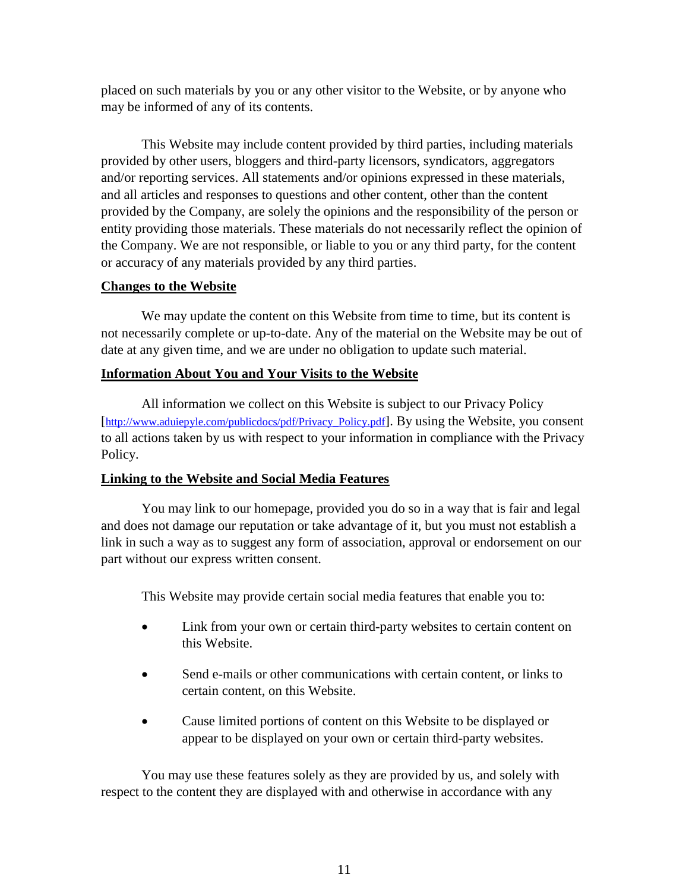placed on such materials by you or any other visitor to the Website, or by anyone who may be informed of any of its contents.

This Website may include content provided by third parties, including materials provided by other users, bloggers and third-party licensors, syndicators, aggregators and/or reporting services. All statements and/or opinions expressed in these materials, and all articles and responses to questions and other content, other than the content provided by the Company, are solely the opinions and the responsibility of the person or entity providing those materials. These materials do not necessarily reflect the opinion of the Company. We are not responsible, or liable to you or any third party, for the content or accuracy of any materials provided by any third parties.

## **Changes to the Website**

We may update the content on this Website from time to time, but its content is not necessarily complete or up-to-date. Any of the material on the Website may be out of date at any given time, and we are under no obligation to update such material.

## **Information About You and Your Visits to the Website**

All information we collect on this Website is subject to our Privacy Policy [\[http://www.aduiepyle.com/publicdocs/pdf/Privacy\\_Policy.pdf\]](http://www.aduiepyle.com/publicdocs/pdf/Privacy_Policy.pdf). By using the Website, you consent to all actions taken by us with respect to your information in compliance with the Privacy Policy.

# **Linking to the Website and Social Media Features**

You may link to our homepage, provided you do so in a way that is fair and legal and does not damage our reputation or take advantage of it, but you must not establish a link in such a way as to suggest any form of association, approval or endorsement on our part without our express written consent.

This Website may provide certain social media features that enable you to:

- Link from your own or certain third-party websites to certain content on this Website.
- Send e-mails or other communications with certain content, or links to certain content, on this Website.
- Cause limited portions of content on this Website to be displayed or appear to be displayed on your own or certain third-party websites.

You may use these features solely as they are provided by us, and solely with respect to the content they are displayed with and otherwise in accordance with any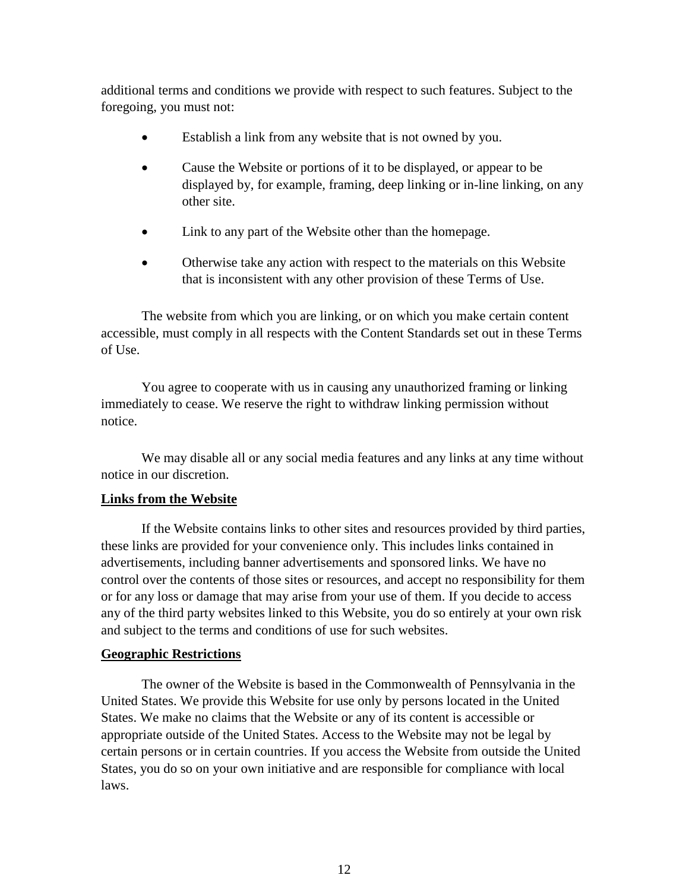additional terms and conditions we provide with respect to such features. Subject to the foregoing, you must not:

- Establish a link from any website that is not owned by you.
- Cause the Website or portions of it to be displayed, or appear to be displayed by, for example, framing, deep linking or in-line linking, on any other site.
- Link to any part of the Website other than the homepage.
- Otherwise take any action with respect to the materials on this Website that is inconsistent with any other provision of these Terms of Use.

The website from which you are linking, or on which you make certain content accessible, must comply in all respects with the Content Standards set out in these Terms of Use.

You agree to cooperate with us in causing any unauthorized framing or linking immediately to cease. We reserve the right to withdraw linking permission without notice.

We may disable all or any social media features and any links at any time without notice in our discretion.

#### **Links from the Website**

If the Website contains links to other sites and resources provided by third parties, these links are provided for your convenience only. This includes links contained in advertisements, including banner advertisements and sponsored links. We have no control over the contents of those sites or resources, and accept no responsibility for them or for any loss or damage that may arise from your use of them. If you decide to access any of the third party websites linked to this Website, you do so entirely at your own risk and subject to the terms and conditions of use for such websites.

#### **Geographic Restrictions**

The owner of the Website is based in the Commonwealth of Pennsylvania in the United States. We provide this Website for use only by persons located in the United States. We make no claims that the Website or any of its content is accessible or appropriate outside of the United States. Access to the Website may not be legal by certain persons or in certain countries. If you access the Website from outside the United States, you do so on your own initiative and are responsible for compliance with local laws.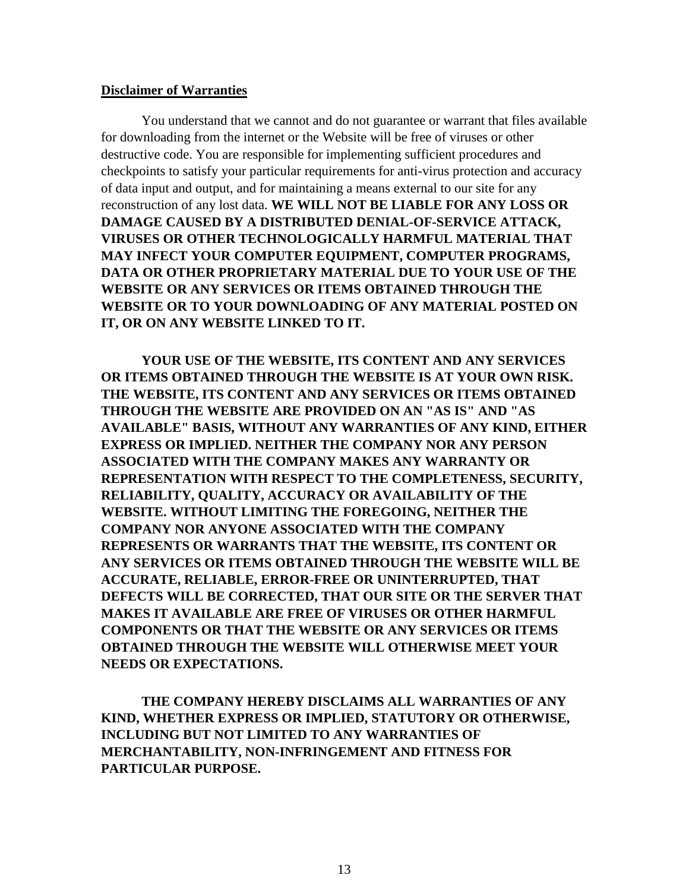#### **Disclaimer of Warranties**

You understand that we cannot and do not guarantee or warrant that files available for downloading from the internet or the Website will be free of viruses or other destructive code. You are responsible for implementing sufficient procedures and checkpoints to satisfy your particular requirements for anti-virus protection and accuracy of data input and output, and for maintaining a means external to our site for any reconstruction of any lost data. **WE WILL NOT BE LIABLE FOR ANY LOSS OR DAMAGE CAUSED BY A DISTRIBUTED DENIAL-OF-SERVICE ATTACK, VIRUSES OR OTHER TECHNOLOGICALLY HARMFUL MATERIAL THAT MAY INFECT YOUR COMPUTER EQUIPMENT, COMPUTER PROGRAMS, DATA OR OTHER PROPRIETARY MATERIAL DUE TO YOUR USE OF THE WEBSITE OR ANY SERVICES OR ITEMS OBTAINED THROUGH THE WEBSITE OR TO YOUR DOWNLOADING OF ANY MATERIAL POSTED ON IT, OR ON ANY WEBSITE LINKED TO IT.**

**YOUR USE OF THE WEBSITE, ITS CONTENT AND ANY SERVICES OR ITEMS OBTAINED THROUGH THE WEBSITE IS AT YOUR OWN RISK. THE WEBSITE, ITS CONTENT AND ANY SERVICES OR ITEMS OBTAINED THROUGH THE WEBSITE ARE PROVIDED ON AN "AS IS" AND "AS AVAILABLE" BASIS, WITHOUT ANY WARRANTIES OF ANY KIND, EITHER EXPRESS OR IMPLIED. NEITHER THE COMPANY NOR ANY PERSON ASSOCIATED WITH THE COMPANY MAKES ANY WARRANTY OR REPRESENTATION WITH RESPECT TO THE COMPLETENESS, SECURITY, RELIABILITY, QUALITY, ACCURACY OR AVAILABILITY OF THE WEBSITE. WITHOUT LIMITING THE FOREGOING, NEITHER THE COMPANY NOR ANYONE ASSOCIATED WITH THE COMPANY REPRESENTS OR WARRANTS THAT THE WEBSITE, ITS CONTENT OR ANY SERVICES OR ITEMS OBTAINED THROUGH THE WEBSITE WILL BE ACCURATE, RELIABLE, ERROR-FREE OR UNINTERRUPTED, THAT DEFECTS WILL BE CORRECTED, THAT OUR SITE OR THE SERVER THAT MAKES IT AVAILABLE ARE FREE OF VIRUSES OR OTHER HARMFUL COMPONENTS OR THAT THE WEBSITE OR ANY SERVICES OR ITEMS OBTAINED THROUGH THE WEBSITE WILL OTHERWISE MEET YOUR NEEDS OR EXPECTATIONS.** 

**THE COMPANY HEREBY DISCLAIMS ALL WARRANTIES OF ANY KIND, WHETHER EXPRESS OR IMPLIED, STATUTORY OR OTHERWISE, INCLUDING BUT NOT LIMITED TO ANY WARRANTIES OF MERCHANTABILITY, NON-INFRINGEMENT AND FITNESS FOR PARTICULAR PURPOSE.**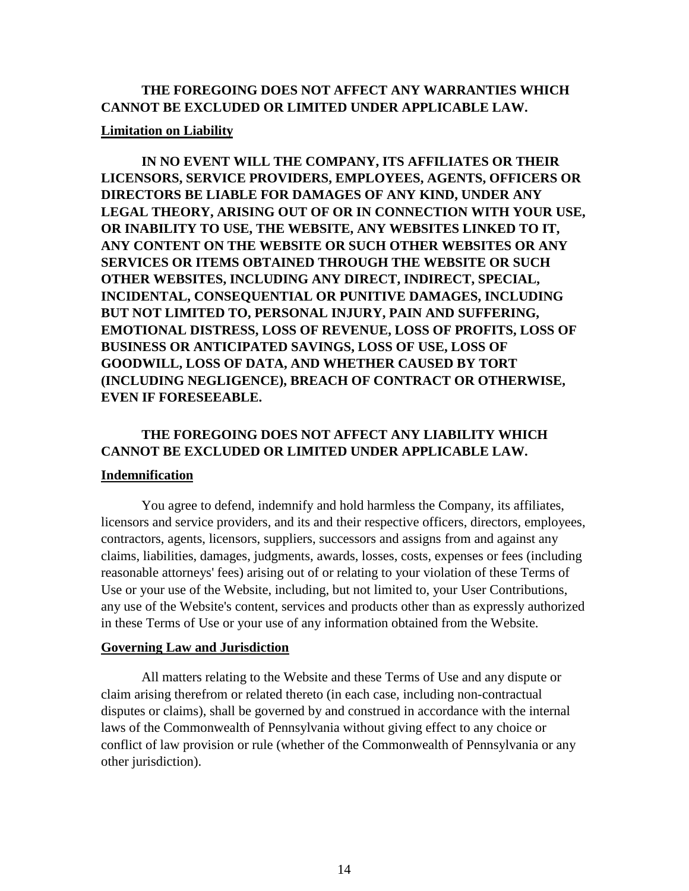# **THE FOREGOING DOES NOT AFFECT ANY WARRANTIES WHICH CANNOT BE EXCLUDED OR LIMITED UNDER APPLICABLE LAW.**

#### **Limitation on Liability**

**IN NO EVENT WILL THE COMPANY, ITS AFFILIATES OR THEIR LICENSORS, SERVICE PROVIDERS, EMPLOYEES, AGENTS, OFFICERS OR DIRECTORS BE LIABLE FOR DAMAGES OF ANY KIND, UNDER ANY LEGAL THEORY, ARISING OUT OF OR IN CONNECTION WITH YOUR USE, OR INABILITY TO USE, THE WEBSITE, ANY WEBSITES LINKED TO IT, ANY CONTENT ON THE WEBSITE OR SUCH OTHER WEBSITES OR ANY SERVICES OR ITEMS OBTAINED THROUGH THE WEBSITE OR SUCH OTHER WEBSITES, INCLUDING ANY DIRECT, INDIRECT, SPECIAL, INCIDENTAL, CONSEQUENTIAL OR PUNITIVE DAMAGES, INCLUDING BUT NOT LIMITED TO, PERSONAL INJURY, PAIN AND SUFFERING, EMOTIONAL DISTRESS, LOSS OF REVENUE, LOSS OF PROFITS, LOSS OF BUSINESS OR ANTICIPATED SAVINGS, LOSS OF USE, LOSS OF GOODWILL, LOSS OF DATA, AND WHETHER CAUSED BY TORT (INCLUDING NEGLIGENCE), BREACH OF CONTRACT OR OTHERWISE, EVEN IF FORESEEABLE.**

# **THE FOREGOING DOES NOT AFFECT ANY LIABILITY WHICH CANNOT BE EXCLUDED OR LIMITED UNDER APPLICABLE LAW.**

#### **Indemnification**

You agree to defend, indemnify and hold harmless the Company, its affiliates, licensors and service providers, and its and their respective officers, directors, employees, contractors, agents, licensors, suppliers, successors and assigns from and against any claims, liabilities, damages, judgments, awards, losses, costs, expenses or fees (including reasonable attorneys' fees) arising out of or relating to your violation of these Terms of Use or your use of the Website, including, but not limited to, your User Contributions, any use of the Website's content, services and products other than as expressly authorized in these Terms of Use or your use of any information obtained from the Website.

#### **Governing Law and Jurisdiction**

All matters relating to the Website and these Terms of Use and any dispute or claim arising therefrom or related thereto (in each case, including non-contractual disputes or claims), shall be governed by and construed in accordance with the internal laws of the Commonwealth of Pennsylvania without giving effect to any choice or conflict of law provision or rule (whether of the Commonwealth of Pennsylvania or any other jurisdiction).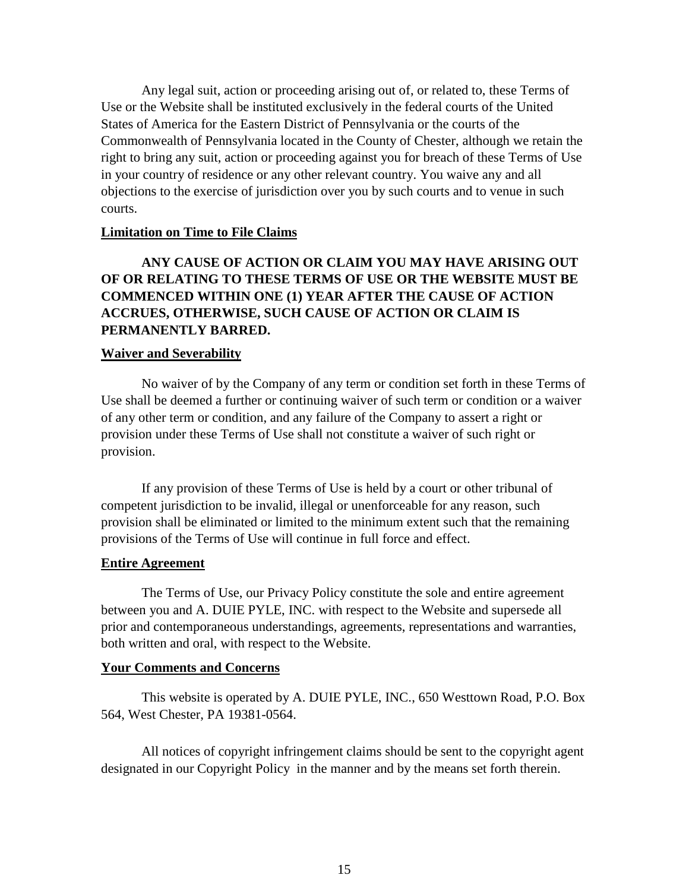Any legal suit, action or proceeding arising out of, or related to, these Terms of Use or the Website shall be instituted exclusively in the federal courts of the United States of America for the Eastern District of Pennsylvania or the courts of the Commonwealth of Pennsylvania located in the County of Chester, although we retain the right to bring any suit, action or proceeding against you for breach of these Terms of Use in your country of residence or any other relevant country. You waive any and all objections to the exercise of jurisdiction over you by such courts and to venue in such courts.

#### **Limitation on Time to File Claims**

# **ANY CAUSE OF ACTION OR CLAIM YOU MAY HAVE ARISING OUT OF OR RELATING TO THESE TERMS OF USE OR THE WEBSITE MUST BE COMMENCED WITHIN ONE (1) YEAR AFTER THE CAUSE OF ACTION ACCRUES, OTHERWISE, SUCH CAUSE OF ACTION OR CLAIM IS PERMANENTLY BARRED.**

#### **Waiver and Severability**

No waiver of by the Company of any term or condition set forth in these Terms of Use shall be deemed a further or continuing waiver of such term or condition or a waiver of any other term or condition, and any failure of the Company to assert a right or provision under these Terms of Use shall not constitute a waiver of such right or provision.

If any provision of these Terms of Use is held by a court or other tribunal of competent jurisdiction to be invalid, illegal or unenforceable for any reason, such provision shall be eliminated or limited to the minimum extent such that the remaining provisions of the Terms of Use will continue in full force and effect.

#### **Entire Agreement**

The Terms of Use, our Privacy Policy constitute the sole and entire agreement between you and A. DUIE PYLE, INC. with respect to the Website and supersede all prior and contemporaneous understandings, agreements, representations and warranties, both written and oral, with respect to the Website.

#### **Your Comments and Concerns**

This website is operated by A. DUIE PYLE, INC., 650 Westtown Road, P.O. Box 564, West Chester, PA 19381-0564.

All notices of copyright infringement claims should be sent to the copyright agent designated in our Copyright Policy in the manner and by the means set forth therein.